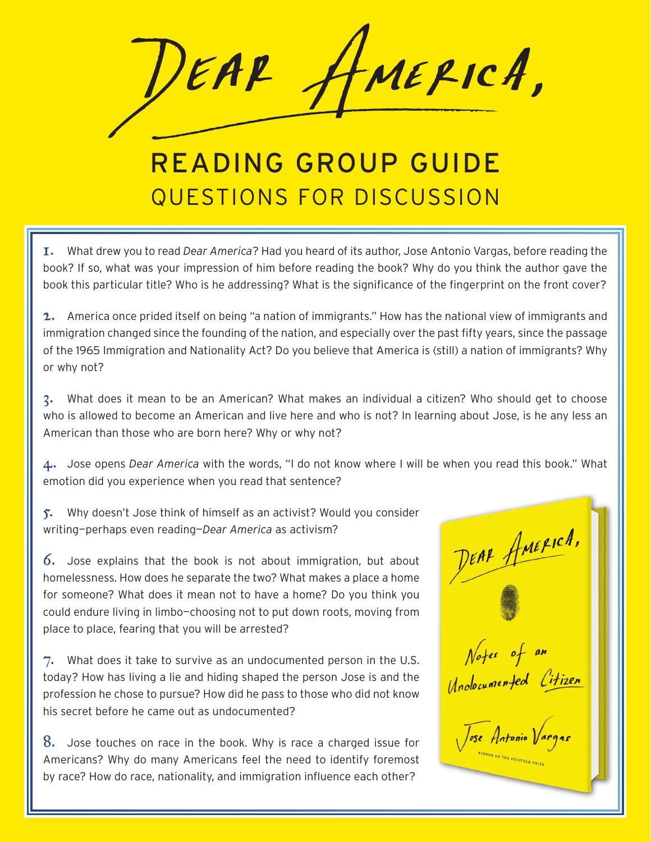MERICA, EAR

## READING GROUP GUIDE QUESTIONS FOR DISCUSSION

1. What drew you to read *Dear America*? Had you heard of its author, Jose Antonio Vargas, before reading the book? If so, what was your impression of him before reading the book? Why do you think the author gave the book this particular title? Who is he addressing? What is the significance of the fingerprint on the front cover?

2. America once prided itself on being "a nation of immigrants." How has the national view of immigrants and immigration changed since the founding of the nation, and especially over the past fifty years, since the passage of the 1965 Immigration and Nationality Act? Do you believe that America is (still) a nation of immigrants? Why or why not?

3. What does it mean to be an American? What makes an individual a citizen? Who should get to choose who is allowed to become an American and live here and who is not? In learning about Jose, is he any less an American than those who are born here? Why or why not?

4. Jose opens *Dear America* with the words, "I do not know where I will be when you read this book." What emotion did you experience when you read that sentence?

5. Why doesn't Jose think of himself as an activist? Would you consider writing—perhaps even reading—*Dear America* as activism?

6. Jose explains that the book is not about immigration, but about homelessness. How does he separate the two? What makes a place a home for someone? What does it mean not to have a home? Do you think you could endure living in limbo—choosing not to put down roots, moving from place to place, fearing that you will be arrested?

 $7.$  What does it take to survive as an undocumented person in the U.S. today? How has living a lie and hiding shaped the person Jose is and the profession he chose to pursue? How did he pass to those who did not know his secret before he came out as undocumented?

8. Jose touches on race in the book. Why is race a charged issue for Americans? Why do many Americans feel the need to identify foremost by race? How do race, nationality, and immigration influence each other?

DEAR AMERICA, Notes of an Unolocumented Citizen  $\sqrt{ose$  Antonio  $\sqrt{ar}$ FTHE PULITZER PRI